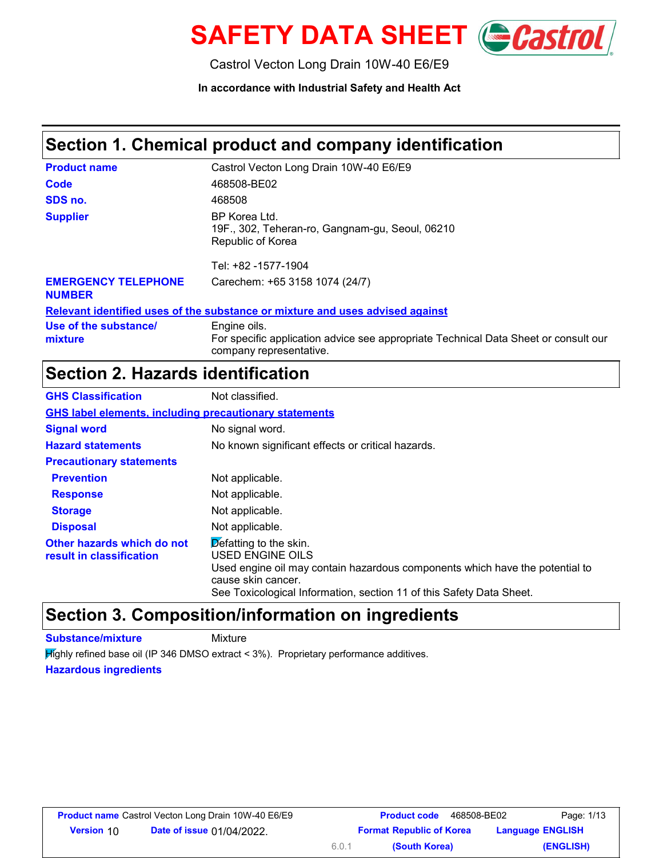

Castrol Vecton Long Drain 10W-40 E6/E9

**In accordance with Industrial Safety and Health Act**

### **Section 1. Chemical product and company identification**

| <b>Product name</b>                         | Castrol Vecton Long Drain 10W-40 E6/E9                                                                                         |
|---------------------------------------------|--------------------------------------------------------------------------------------------------------------------------------|
| Code                                        | 468508-BE02                                                                                                                    |
| SDS no.                                     | 468508                                                                                                                         |
| <b>Supplier</b>                             | BP Korea Ltd.<br>19F., 302, Teheran-ro, Gangnam-gu, Seoul, 06210<br>Republic of Korea                                          |
|                                             | Tel: +82 -1577-1904                                                                                                            |
| <b>EMERGENCY TELEPHONE</b><br><b>NUMBER</b> | Carechem: +65 3158 1074 (24/7)                                                                                                 |
|                                             | Relevant identified uses of the substance or mixture and uses advised against                                                  |
| Use of the substance/<br>mixture            | Engine oils.<br>For specific application advice see appropriate Technical Data Sheet or consult our<br>company representative. |

### **Section 2. Hazards identification**

| <b>GHS Classification</b>                                     | Not classified.                                                                                                                                                                                                                                 |
|---------------------------------------------------------------|-------------------------------------------------------------------------------------------------------------------------------------------------------------------------------------------------------------------------------------------------|
| <b>GHS label elements, including precautionary statements</b> |                                                                                                                                                                                                                                                 |
| <b>Signal word</b>                                            | No signal word.                                                                                                                                                                                                                                 |
| <b>Hazard statements</b>                                      | No known significant effects or critical hazards.                                                                                                                                                                                               |
| <b>Precautionary statements</b>                               |                                                                                                                                                                                                                                                 |
| <b>Prevention</b>                                             | Not applicable.                                                                                                                                                                                                                                 |
| <b>Response</b>                                               | Not applicable.                                                                                                                                                                                                                                 |
| <b>Storage</b>                                                | Not applicable.                                                                                                                                                                                                                                 |
| <b>Disposal</b>                                               | Not applicable.                                                                                                                                                                                                                                 |
| Other hazards which do not<br>result in classification        | $\overline{\mathsf{Def}}$ atting to the skin.<br>USED ENGINE OILS<br>Used engine oil may contain hazardous components which have the potential to<br>cause skin cancer.<br>See Toxicological Information, section 11 of this Safety Data Sheet. |

### **Section 3. Composition/information on ingredients**

**Substance/mixture** Mixture

Highly refined base oil (IP 346 DMSO extract < 3%). Proprietary performance additives.

#### **Hazardous ingredients**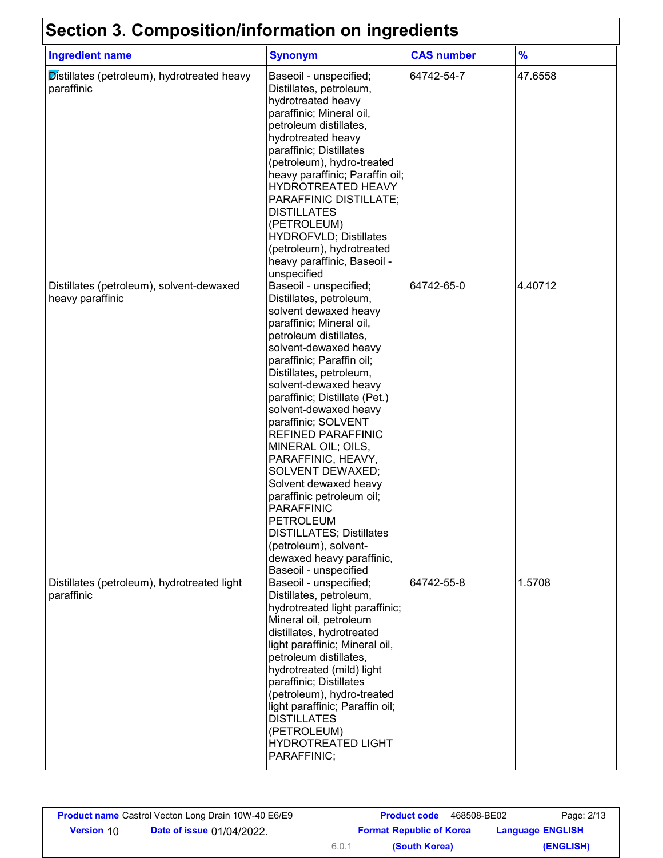## **Section 3. Composition/information on ingredients**

| <u>oecuon o. Oompositionimioniation on ingredients</u><br><b>Ingredient name</b> | <b>Synonym</b>                                                                                                                                                                                                                                                                                                                                                                                                                                                                                                                                                                                                                            | <b>CAS number</b> | $\frac{9}{6}$ |
|----------------------------------------------------------------------------------|-------------------------------------------------------------------------------------------------------------------------------------------------------------------------------------------------------------------------------------------------------------------------------------------------------------------------------------------------------------------------------------------------------------------------------------------------------------------------------------------------------------------------------------------------------------------------------------------------------------------------------------------|-------------------|---------------|
| Distillates (petroleum), hydrotreated heavy<br>paraffinic                        | Baseoil - unspecified;<br>Distillates, petroleum,<br>hydrotreated heavy<br>paraffinic; Mineral oil,<br>petroleum distillates,<br>hydrotreated heavy<br>paraffinic; Distillates<br>(petroleum), hydro-treated<br>heavy paraffinic; Paraffin oil;<br>HYDROTREATED HEAVY<br>PARAFFINIC DISTILLATE;<br><b>DISTILLATES</b><br>(PETROLEUM)<br><b>HYDROFVLD; Distillates</b><br>(petroleum), hydrotreated<br>heavy paraffinic, Baseoil -<br>unspecified                                                                                                                                                                                          | 64742-54-7        | 47.6558       |
| Distillates (petroleum), solvent-dewaxed<br>heavy paraffinic                     | Baseoil - unspecified;<br>Distillates, petroleum,<br>solvent dewaxed heavy<br>paraffinic; Mineral oil,<br>petroleum distillates,<br>solvent-dewaxed heavy<br>paraffinic; Paraffin oil;<br>Distillates, petroleum,<br>solvent-dewaxed heavy<br>paraffinic; Distillate (Pet.)<br>solvent-dewaxed heavy<br>paraffinic; SOLVENT<br><b>REFINED PARAFFINIC</b><br>MINERAL OIL; OILS,<br>PARAFFINIC, HEAVY,<br>SOLVENT DEWAXED;<br>Solvent dewaxed heavy<br>paraffinic petroleum oil;<br><b>PARAFFINIC</b><br><b>PETROLEUM</b><br><b>DISTILLATES; Distillates</b><br>(petroleum), solvent-<br>dewaxed heavy paraffinic,<br>Baseoil - unspecified | 64742-65-0        | 4.40712       |
| Distillates (petroleum), hydrotreated light<br>paraffinic                        | Baseoil - unspecified;<br>Distillates, petroleum,<br>hydrotreated light paraffinic;<br>Mineral oil, petroleum<br>distillates, hydrotreated<br>light paraffinic; Mineral oil,<br>petroleum distillates,<br>hydrotreated (mild) light<br>paraffinic; Distillates<br>(petroleum), hydro-treated<br>light paraffinic; Paraffin oil;<br><b>DISTILLATES</b><br>(PETROLEUM)<br><b>HYDROTREATED LIGHT</b><br>PARAFFINIC;                                                                                                                                                                                                                          | 64742-55-8        | 1.5708        |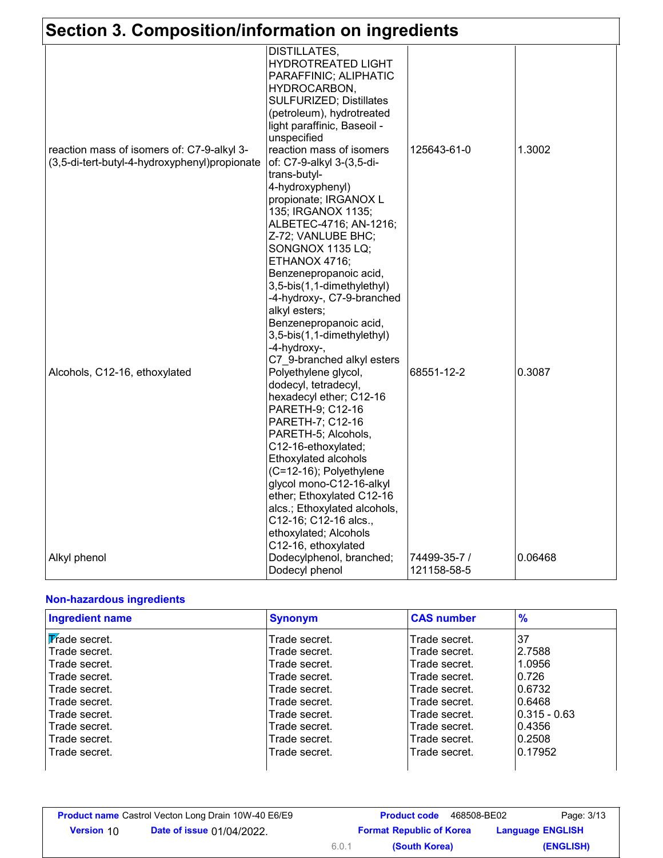| Section 3. Composition/information on ingredients                                           |                                                                                                                                                                                                                                                                                                                                                                                                                  |                             |         |
|---------------------------------------------------------------------------------------------|------------------------------------------------------------------------------------------------------------------------------------------------------------------------------------------------------------------------------------------------------------------------------------------------------------------------------------------------------------------------------------------------------------------|-----------------------------|---------|
|                                                                                             | <b>DISTILLATES,</b><br><b>HYDROTREATED LIGHT</b><br>PARAFFINIC; ALIPHATIC<br>HYDROCARBON,<br><b>SULFURIZED; Distillates</b><br>(petroleum), hydrotreated<br>light paraffinic, Baseoil -<br>unspecified                                                                                                                                                                                                           |                             |         |
| reaction mass of isomers of: C7-9-alkyl 3-<br>(3,5-di-tert-butyl-4-hydroxyphenyl)propionate | reaction mass of isomers<br>of: C7-9-alkyl 3-(3,5-di-<br>trans-butyl-<br>4-hydroxyphenyl)<br>propionate; IRGANOX L<br>135; IRGANOX 1135;<br>ALBETEC-4716; AN-1216;<br>Z-72; VANLUBE BHC;<br>SONGNOX 1135 LQ;<br>ETHANOX 4716;<br>Benzenepropanoic acid,<br>3,5-bis(1,1-dimethylethyl)<br>-4-hydroxy-, C7-9-branched<br>alkyl esters;<br>Benzenepropanoic acid,<br>3,5-bis(1,1-dimethylethyl)<br>-4-hydroxy-,     | 125643-61-0                 | 1.3002  |
| Alcohols, C12-16, ethoxylated                                                               | C7_9-branched alkyl esters<br>Polyethylene glycol,<br>dodecyl, tetradecyl,<br>hexadecyl ether; C12-16<br>PARETH-9; C12-16<br>PARETH-7; C12-16<br>PARETH-5; Alcohols,<br>C12-16-ethoxylated;<br>Ethoxylated alcohols<br>(C=12-16); Polyethylene<br>glycol mono-C12-16-alkyl<br>ether; Ethoxylated C12-16<br>alcs.; Ethoxylated alcohols,<br>C12-16; C12-16 alcs.,<br>ethoxylated; Alcohols<br>C12-16, ethoxylated | 68551-12-2                  | 0.3087  |
| Alkyl phenol                                                                                | Dodecylphenol, branched;<br>Dodecyl phenol                                                                                                                                                                                                                                                                                                                                                                       | 74499-35-7 /<br>121158-58-5 | 0.06468 |

#### **Non-hazardous ingredients**

| <b>Ingredient name</b> | <b>Synonym</b> | <b>CAS number</b> | $\frac{9}{6}$  |
|------------------------|----------------|-------------------|----------------|
| Trade secret.          | Trade secret.  | Trade secret.     | 137            |
| Trade secret.          | Trade secret.  | Trade secret.     | 2.7588         |
| Trade secret.          | Trade secret.  | Trade secret.     | 1.0956         |
| Trade secret.          | Trade secret.  | Trade secret.     | 10.726         |
| Trade secret.          | Trade secret.  | Trade secret.     | 0.6732         |
| Trade secret.          | Trade secret.  | Trade secret.     | 0.6468         |
| Trade secret.          | Trade secret.  | Trade secret.     | $0.315 - 0.63$ |
| Trade secret.          | Trade secret.  | Trade secret.     | 0.4356         |
| Trade secret.          | Trade secret.  | Trade secret.     | 0.2508         |
| Trade secret.          | Trade secret.  | Trade secret.     | 0.17952        |
|                        |                |                   |                |

|                   | <b>Product name</b> Castrol Vecton Long Drain 10W-40 E6/E9 |       | <b>Product code</b><br>468508-BE02 | Page: 3/13              |
|-------------------|------------------------------------------------------------|-------|------------------------------------|-------------------------|
| <b>Version 10</b> | <b>Date of issue 01/04/2022.</b>                           |       | <b>Format Republic of Korea</b>    | <b>Language ENGLISH</b> |
|                   |                                                            | 6.0.1 | (South Korea)                      | (ENGLISH)               |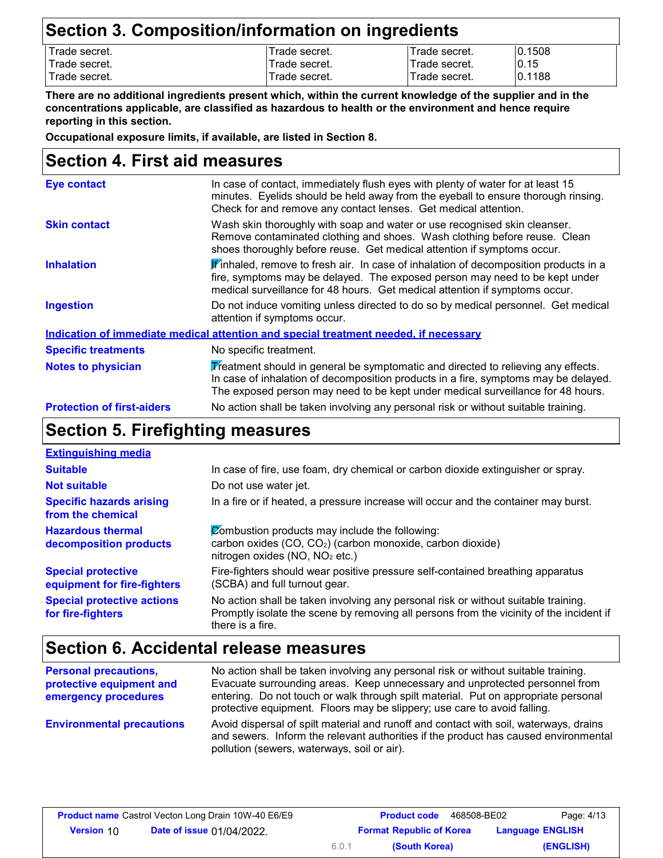### **Section 3. Composition/information on ingredients**

| Trade secret. | Trade secret. | Frade secret. | 10.1508 |
|---------------|---------------|---------------|---------|
| Trade secret. | Trade secret. | Trade secret. | 0.15    |
| Trade secret. | Trade secret. | Trade secret. | 0.1188  |
|               |               |               |         |

**There are no additional ingredients present which, within the current knowledge of the supplier and in the concentrations applicable, are classified as hazardous to health or the environment and hence require reporting in this section.**

**Occupational exposure limits, if available, are listed in Section 8.**

### **Section 4. First aid measures**

| <b>Eye contact</b>                | In case of contact, immediately flush eyes with plenty of water for at least 15<br>minutes. Eyelids should be held away from the eyeball to ensure thorough rinsing.<br>Check for and remove any contact lenses. Get medical attention.                     |
|-----------------------------------|-------------------------------------------------------------------------------------------------------------------------------------------------------------------------------------------------------------------------------------------------------------|
| <b>Skin contact</b>               | Wash skin thoroughly with soap and water or use recognised skin cleanser.<br>Remove contaminated clothing and shoes. Wash clothing before reuse. Clean<br>shoes thoroughly before reuse. Get medical attention if symptoms occur.                           |
| <b>Inhalation</b>                 | K'inhaled, remove to fresh air. In case of inhalation of decomposition products in a<br>fire, symptoms may be delayed. The exposed person may need to be kept under<br>medical surveillance for 48 hours. Get medical attention if symptoms occur.          |
| <b>Ingestion</b>                  | Do not induce vomiting unless directed to do so by medical personnel. Get medical<br>attention if symptoms occur.                                                                                                                                           |
|                                   | Indication of immediate medical attention and special treatment needed, if necessary                                                                                                                                                                        |
| <b>Specific treatments</b>        | No specific treatment.                                                                                                                                                                                                                                      |
| <b>Notes to physician</b>         | Treatment should in general be symptomatic and directed to relieving any effects.<br>In case of inhalation of decomposition products in a fire, symptoms may be delayed.<br>The exposed person may need to be kept under medical surveillance for 48 hours. |
| <b>Protection of first-aiders</b> | No action shall be taken involving any personal risk or without suitable training.                                                                                                                                                                          |

## **Section 5. Firefighting measures**

| <b>Extinguishing media</b>                               |                                                                                                                                                                                                   |
|----------------------------------------------------------|---------------------------------------------------------------------------------------------------------------------------------------------------------------------------------------------------|
| <b>Suitable</b>                                          | In case of fire, use foam, dry chemical or carbon dioxide extinguisher or spray.                                                                                                                  |
| <b>Not suitable</b>                                      | Do not use water jet.                                                                                                                                                                             |
| <b>Specific hazards arising</b><br>from the chemical     | In a fire or if heated, a pressure increase will occur and the container may burst.                                                                                                               |
| <b>Hazardous thermal</b><br>decomposition products       | Combustion products may include the following:<br>carbon oxides (CO, CO <sub>2</sub> ) (carbon monoxide, carbon dioxide)<br>nitrogen oxides (NO, NO <sub>2</sub> etc.)                            |
| <b>Special protective</b><br>equipment for fire-fighters | Fire-fighters should wear positive pressure self-contained breathing apparatus<br>(SCBA) and full turnout gear.                                                                                   |
| <b>Special protective actions</b><br>for fire-fighters   | No action shall be taken involving any personal risk or without suitable training.<br>Promptly isolate the scene by removing all persons from the vicinity of the incident if<br>there is a fire. |

### **Section 6. Accidental release measures**

| <b>Personal precautions,</b><br>protective equipment and<br>emergency procedures | No action shall be taken involving any personal risk or without suitable training.<br>Evacuate surrounding areas. Keep unnecessary and unprotected personnel from<br>entering. Do not touch or walk through spilt material. Put on appropriate personal<br>protective equipment. Floors may be slippery; use care to avoid falling. |
|----------------------------------------------------------------------------------|-------------------------------------------------------------------------------------------------------------------------------------------------------------------------------------------------------------------------------------------------------------------------------------------------------------------------------------|
| <b>Environmental precautions</b>                                                 | Avoid dispersal of spilt material and runoff and contact with soil, waterways, drains<br>and sewers. Inform the relevant authorities if the product has caused environmental<br>pollution (sewers, waterways, soil or air).                                                                                                         |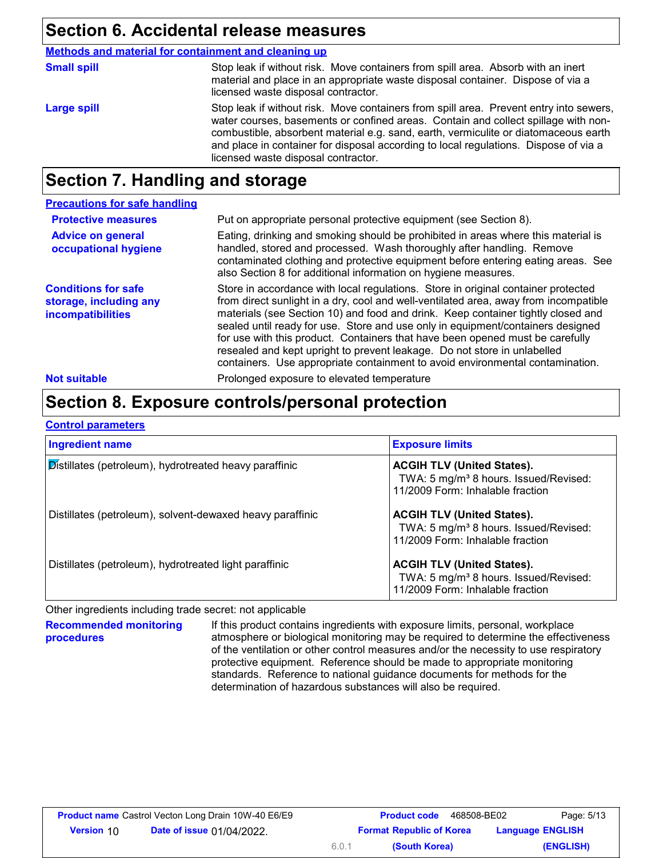### **Section 6. Accidental release measures**

Stop leak if without risk. Move containers from spill area. Prevent entry into sewers, water courses, basements or confined areas. Contain and collect spillage with noncombustible, absorbent material e.g. sand, earth, vermiculite or diatomaceous earth and place in container for disposal according to local regulations. Dispose of via a licensed waste disposal contractor. **Large spill** Stop leak if without risk. Move containers from spill area. Absorb with an inert material and place in an appropriate waste disposal container. Dispose of via a licensed waste disposal contractor. **Small spill Methods and material for containment and cleaning up**

### **Section 7. Handling and storage**

| <b>Precautions for safe handling</b>                                      |                                                                                                                                                                                                                                                                                                                                                                                                                                                                                                                                                                                                |
|---------------------------------------------------------------------------|------------------------------------------------------------------------------------------------------------------------------------------------------------------------------------------------------------------------------------------------------------------------------------------------------------------------------------------------------------------------------------------------------------------------------------------------------------------------------------------------------------------------------------------------------------------------------------------------|
| <b>Protective measures</b>                                                | Put on appropriate personal protective equipment (see Section 8).                                                                                                                                                                                                                                                                                                                                                                                                                                                                                                                              |
| <b>Advice on general</b><br>occupational hygiene                          | Eating, drinking and smoking should be prohibited in areas where this material is<br>handled, stored and processed. Wash thoroughly after handling. Remove<br>contaminated clothing and protective equipment before entering eating areas. See<br>also Section 8 for additional information on hygiene measures.                                                                                                                                                                                                                                                                               |
| <b>Conditions for safe</b><br>storage, including any<br>incompatibilities | Store in accordance with local regulations. Store in original container protected<br>from direct sunlight in a dry, cool and well-ventilated area, away from incompatible<br>materials (see Section 10) and food and drink. Keep container tightly closed and<br>sealed until ready for use. Store and use only in equipment/containers designed<br>for use with this product. Containers that have been opened must be carefully<br>resealed and kept upright to prevent leakage. Do not store in unlabelled<br>containers. Use appropriate containment to avoid environmental contamination. |
| <b>Not suitable</b>                                                       | Prolonged exposure to elevated temperature                                                                                                                                                                                                                                                                                                                                                                                                                                                                                                                                                     |

## **Section 8. Exposure controls/personal protection**

|--|

| <b>Ingredient name</b>                                    | <b>Exposure limits</b>                                                                                                     |
|-----------------------------------------------------------|----------------------------------------------------------------------------------------------------------------------------|
| Distillates (petroleum), hydrotreated heavy paraffinic    | <b>ACGIH TLV (United States).</b><br>TWA: 5 mg/m <sup>3</sup> 8 hours. Issued/Revised:<br>11/2009 Form: Inhalable fraction |
| Distillates (petroleum), solvent-dewaxed heavy paraffinic | <b>ACGIH TLV (United States).</b><br>TWA: 5 mg/m <sup>3</sup> 8 hours. Issued/Revised:<br>11/2009 Form: Inhalable fraction |
| Distillates (petroleum), hydrotreated light paraffinic    | <b>ACGIH TLV (United States).</b><br>TWA: 5 mg/m <sup>3</sup> 8 hours. Issued/Revised:<br>11/2009 Form: Inhalable fraction |

Other ingredients including trade secret: not applicable

**Recommended monitoring procedures** If this product contains ingredients with exposure limits, personal, workplace atmosphere or biological monitoring may be required to determine the effectiveness of the ventilation or other control measures and/or the necessity to use respiratory protective equipment. Reference should be made to appropriate monitoring standards. Reference to national guidance documents for methods for the determination of hazardous substances will also be required.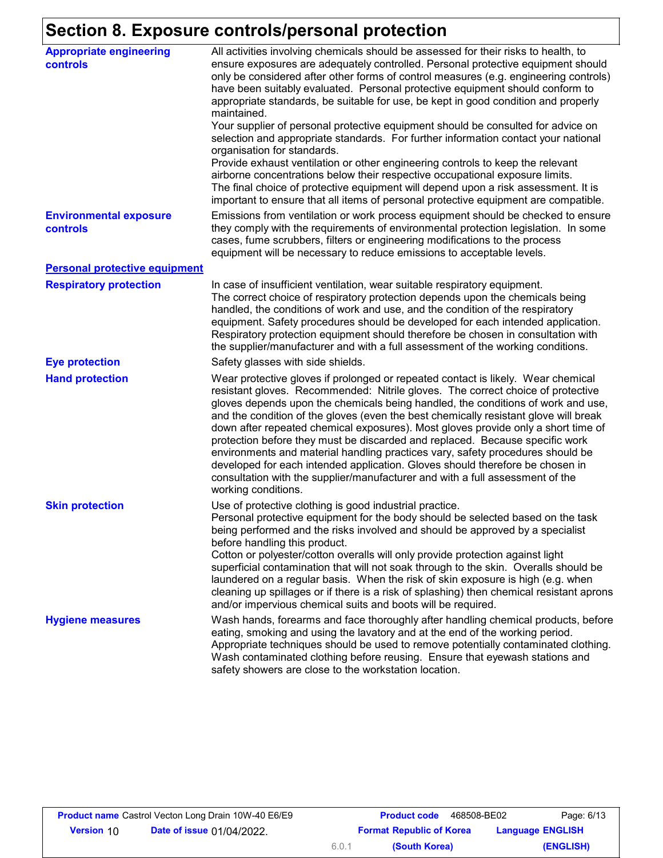# **Section 8. Exposure controls/personal protection**

| <b>Appropriate engineering</b><br><b>controls</b> | All activities involving chemicals should be assessed for their risks to health, to<br>ensure exposures are adequately controlled. Personal protective equipment should<br>only be considered after other forms of control measures (e.g. engineering controls)<br>have been suitably evaluated. Personal protective equipment should conform to<br>appropriate standards, be suitable for use, be kept in good condition and properly<br>maintained.<br>Your supplier of personal protective equipment should be consulted for advice on<br>selection and appropriate standards. For further information contact your national<br>organisation for standards.<br>Provide exhaust ventilation or other engineering controls to keep the relevant<br>airborne concentrations below their respective occupational exposure limits.<br>The final choice of protective equipment will depend upon a risk assessment. It is<br>important to ensure that all items of personal protective equipment are compatible. |
|---------------------------------------------------|---------------------------------------------------------------------------------------------------------------------------------------------------------------------------------------------------------------------------------------------------------------------------------------------------------------------------------------------------------------------------------------------------------------------------------------------------------------------------------------------------------------------------------------------------------------------------------------------------------------------------------------------------------------------------------------------------------------------------------------------------------------------------------------------------------------------------------------------------------------------------------------------------------------------------------------------------------------------------------------------------------------|
| <b>Environmental exposure</b><br>controls         | Emissions from ventilation or work process equipment should be checked to ensure<br>they comply with the requirements of environmental protection legislation. In some<br>cases, fume scrubbers, filters or engineering modifications to the process<br>equipment will be necessary to reduce emissions to acceptable levels.                                                                                                                                                                                                                                                                                                                                                                                                                                                                                                                                                                                                                                                                                 |
| <b>Personal protective equipment</b>              |                                                                                                                                                                                                                                                                                                                                                                                                                                                                                                                                                                                                                                                                                                                                                                                                                                                                                                                                                                                                               |
| <b>Respiratory protection</b>                     | In case of insufficient ventilation, wear suitable respiratory equipment.<br>The correct choice of respiratory protection depends upon the chemicals being<br>handled, the conditions of work and use, and the condition of the respiratory<br>equipment. Safety procedures should be developed for each intended application.<br>Respiratory protection equipment should therefore be chosen in consultation with<br>the supplier/manufacturer and with a full assessment of the working conditions.                                                                                                                                                                                                                                                                                                                                                                                                                                                                                                         |
| <b>Eye protection</b>                             | Safety glasses with side shields.                                                                                                                                                                                                                                                                                                                                                                                                                                                                                                                                                                                                                                                                                                                                                                                                                                                                                                                                                                             |
| <b>Hand protection</b>                            | Wear protective gloves if prolonged or repeated contact is likely. Wear chemical<br>resistant gloves. Recommended: Nitrile gloves. The correct choice of protective<br>gloves depends upon the chemicals being handled, the conditions of work and use,<br>and the condition of the gloves (even the best chemically resistant glove will break<br>down after repeated chemical exposures). Most gloves provide only a short time of<br>protection before they must be discarded and replaced. Because specific work<br>environments and material handling practices vary, safety procedures should be<br>developed for each intended application. Gloves should therefore be chosen in<br>consultation with the supplier/manufacturer and with a full assessment of the<br>working conditions.                                                                                                                                                                                                               |
| <b>Skin protection</b>                            | Use of protective clothing is good industrial practice.<br>Personal protective equipment for the body should be selected based on the task<br>being performed and the risks involved and should be approved by a specialist<br>before handling this product.<br>Cotton or polyester/cotton overalls will only provide protection against light<br>superficial contamination that will not soak through to the skin. Overalls should be<br>laundered on a regular basis. When the risk of skin exposure is high (e.g. when<br>cleaning up spillages or if there is a risk of splashing) then chemical resistant aprons<br>and/or impervious chemical suits and boots will be required.                                                                                                                                                                                                                                                                                                                         |
| <b>Hygiene measures</b>                           | Wash hands, forearms and face thoroughly after handling chemical products, before<br>eating, smoking and using the lavatory and at the end of the working period.<br>Appropriate techniques should be used to remove potentially contaminated clothing.<br>Wash contaminated clothing before reusing. Ensure that eyewash stations and<br>safety showers are close to the workstation location.                                                                                                                                                                                                                                                                                                                                                                                                                                                                                                                                                                                                               |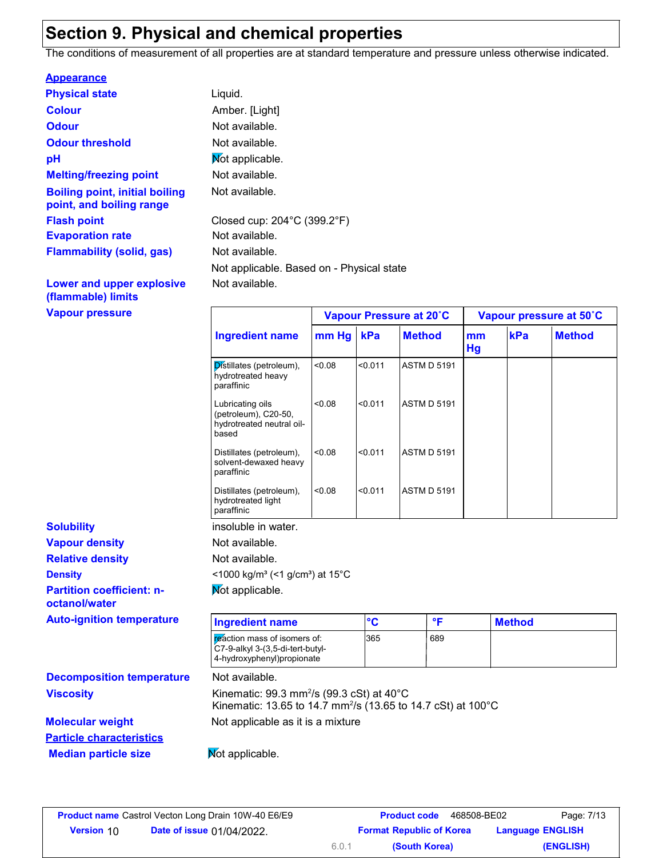### **Section 9. Physical and chemical properties**

The conditions of measurement of all properties are at standard temperature and pressure unless otherwise indicated.

#### **Appearance**

| <b>Physical state</b>                                             | Liquid.                                   |
|-------------------------------------------------------------------|-------------------------------------------|
| <b>Colour</b>                                                     | Amber. [Light]                            |
| <b>Odour</b>                                                      | Not available.                            |
| <b>Odour threshold</b>                                            | Not available.                            |
| pH                                                                | Not applicable.                           |
| <b>Melting/freezing point</b>                                     | Not available.                            |
| <b>Boiling point, initial boiling</b><br>point, and boiling range | Not available.                            |
| <b>Flash point</b>                                                | Closed cup: 204°C (399.2°F)               |
| <b>Evaporation rate</b>                                           | Not available.                            |
| <b>Flammability (solid, gas)</b>                                  | Not available.                            |
|                                                                   | Not applicable. Based on - Physical state |
| Lower and upper explosive                                         | Not available.                            |

#### **(flammable) limits Vapour pressure**

|                                                   | <b>Ingredient name</b>                                                                                                                      | mm Hg  | kPa     | <b>Method</b>      |              | mm<br>Hg | kPa           | <b>Method</b> |
|---------------------------------------------------|---------------------------------------------------------------------------------------------------------------------------------------------|--------|---------|--------------------|--------------|----------|---------------|---------------|
|                                                   | Distillates (petroleum),<br>hydrotreated heavy<br>paraffinic                                                                                | < 0.08 | < 0.011 | <b>ASTM D 5191</b> |              |          |               |               |
|                                                   | Lubricating oils<br>(petroleum), C20-50,<br>hydrotreated neutral oil-<br>based                                                              | < 0.08 | < 0.011 | <b>ASTM D 5191</b> |              |          |               |               |
|                                                   | Distillates (petroleum),<br>solvent-dewaxed heavy<br>paraffinic                                                                             | < 0.08 | < 0.011 | <b>ASTM D 5191</b> |              |          |               |               |
|                                                   | Distillates (petroleum),<br>hydrotreated light<br>paraffinic                                                                                | < 0.08 | < 0.011 | <b>ASTM D 5191</b> |              |          |               |               |
| <b>Solubility</b>                                 | insoluble in water.                                                                                                                         |        |         |                    |              |          |               |               |
| <b>Vapour density</b>                             | Not available.                                                                                                                              |        |         |                    |              |          |               |               |
| <b>Relative density</b>                           | Not available.                                                                                                                              |        |         |                    |              |          |               |               |
| <b>Density</b>                                    | <1000 kg/m <sup>3</sup> (<1 g/cm <sup>3</sup> ) at 15°C                                                                                     |        |         |                    |              |          |               |               |
| <b>Partition coefficient: n-</b><br>octanol/water | Mot applicable.                                                                                                                             |        |         |                    |              |          |               |               |
| <b>Auto-ignition temperature</b>                  | <b>Ingredient name</b>                                                                                                                      |        | °C      |                    | $\mathsf{P}$ |          | <b>Method</b> |               |
|                                                   | reaction mass of isomers of:<br>365<br>689<br>C7-9-alkyl 3-(3,5-di-tert-butyl-<br>4-hydroxyphenyl)propionate                                |        |         |                    |              |          |               |               |
| <b>Decomposition temperature</b>                  | Not available.                                                                                                                              |        |         |                    |              |          |               |               |
| <b>Viscosity</b>                                  | Kinematic: 99.3 mm <sup>2</sup> /s (99.3 cSt) at $40^{\circ}$ C<br>Kinematic: 13.65 to 14.7 mm <sup>2</sup> /s (13.65 to 14.7 cSt) at 100°C |        |         |                    |              |          |               |               |
| <b>Molecular weight</b>                           | Not applicable as it is a mixture                                                                                                           |        |         |                    |              |          |               |               |
| <b>Particle characteristics</b>                   |                                                                                                                                             |        |         |                    |              |          |               |               |
|                                                   |                                                                                                                                             |        |         |                    |              |          |               |               |

**Vapour Pressure at 20˚C Vapour pressure at 50˚C**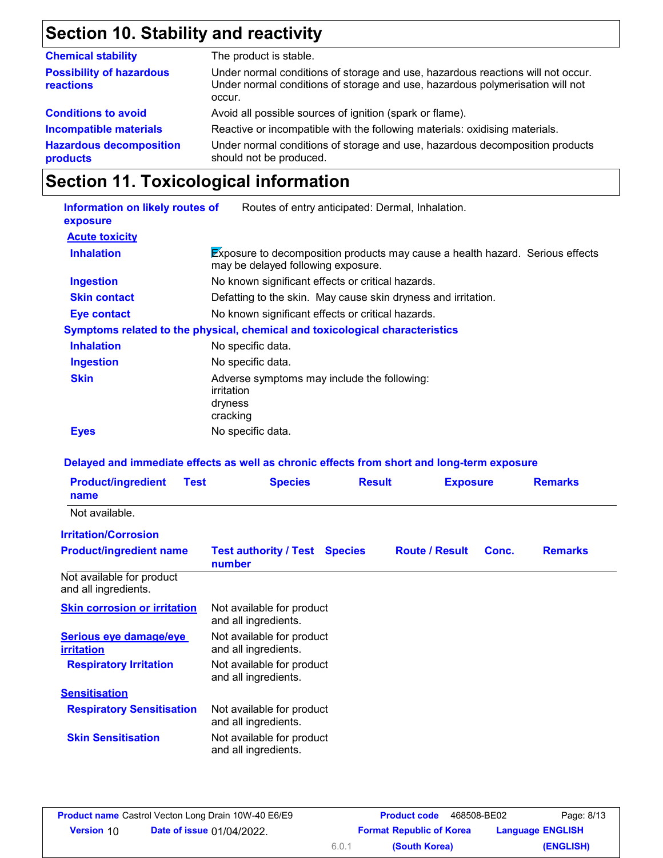## **Section 10. Stability and reactivity**

| The product is stable.                                                                                                                                                     |
|----------------------------------------------------------------------------------------------------------------------------------------------------------------------------|
| Under normal conditions of storage and use, hazardous reactions will not occur.<br>Under normal conditions of storage and use, hazardous polymerisation will not<br>occur. |
| Avoid all possible sources of ignition (spark or flame).                                                                                                                   |
| Reactive or incompatible with the following materials: oxidising materials.                                                                                                |
| Under normal conditions of storage and use, hazardous decomposition products<br>should not be produced.                                                                    |
|                                                                                                                                                                            |

## **Section 11. Toxicological information**

| Information on likely routes of<br>exposure | Routes of entry anticipated: Dermal, Inhalation.                                                                    |  |  |  |  |
|---------------------------------------------|---------------------------------------------------------------------------------------------------------------------|--|--|--|--|
| <b>Acute toxicity</b>                       |                                                                                                                     |  |  |  |  |
| <b>Inhalation</b>                           | Exposure to decomposition products may cause a health hazard. Serious effects<br>may be delayed following exposure. |  |  |  |  |
| <b>Ingestion</b>                            | No known significant effects or critical hazards.                                                                   |  |  |  |  |
| <b>Skin contact</b>                         | Defatting to the skin. May cause skin dryness and irritation.                                                       |  |  |  |  |
| <b>Eye contact</b>                          | No known significant effects or critical hazards.                                                                   |  |  |  |  |
|                                             | Symptoms related to the physical, chemical and toxicological characteristics                                        |  |  |  |  |
| <b>Inhalation</b>                           | No specific data.                                                                                                   |  |  |  |  |
| <b>Ingestion</b>                            | No specific data.                                                                                                   |  |  |  |  |
| <b>Skin</b>                                 | Adverse symptoms may include the following:<br>irritation<br>dryness<br>cracking                                    |  |  |  |  |
| <b>Eyes</b>                                 | No specific data.                                                                                                   |  |  |  |  |

#### **Delayed and immediate effects as well as chronic effects from short and long-term exposure**

| <b>Product/ingredient</b><br>name                         | <b>Test</b> | <b>Species</b>                                    | <b>Result</b> | <b>Exposure</b>       |       | <b>Remarks</b> |
|-----------------------------------------------------------|-------------|---------------------------------------------------|---------------|-----------------------|-------|----------------|
| Not available.                                            |             |                                                   |               |                       |       |                |
| <b>Irritation/Corrosion</b>                               |             |                                                   |               |                       |       |                |
| <b>Product/ingredient name</b>                            |             | <b>Test authority / Test Species</b><br>number    |               | <b>Route / Result</b> | Conc. | <b>Remarks</b> |
| Not available for product<br>and all ingredients.         |             |                                                   |               |                       |       |                |
| <b>Skin corrosion or irritation</b>                       |             | Not available for product<br>and all ingredients. |               |                       |       |                |
| Serious eye damage/eye<br><i><u><b>irritation</b></u></i> |             | Not available for product<br>and all ingredients. |               |                       |       |                |
| <b>Respiratory Irritation</b>                             |             | Not available for product<br>and all ingredients. |               |                       |       |                |
| <b>Sensitisation</b>                                      |             |                                                   |               |                       |       |                |
| <b>Respiratory Sensitisation</b>                          |             | Not available for product<br>and all ingredients. |               |                       |       |                |
| <b>Skin Sensitisation</b>                                 |             | Not available for product<br>and all ingredients. |               |                       |       |                |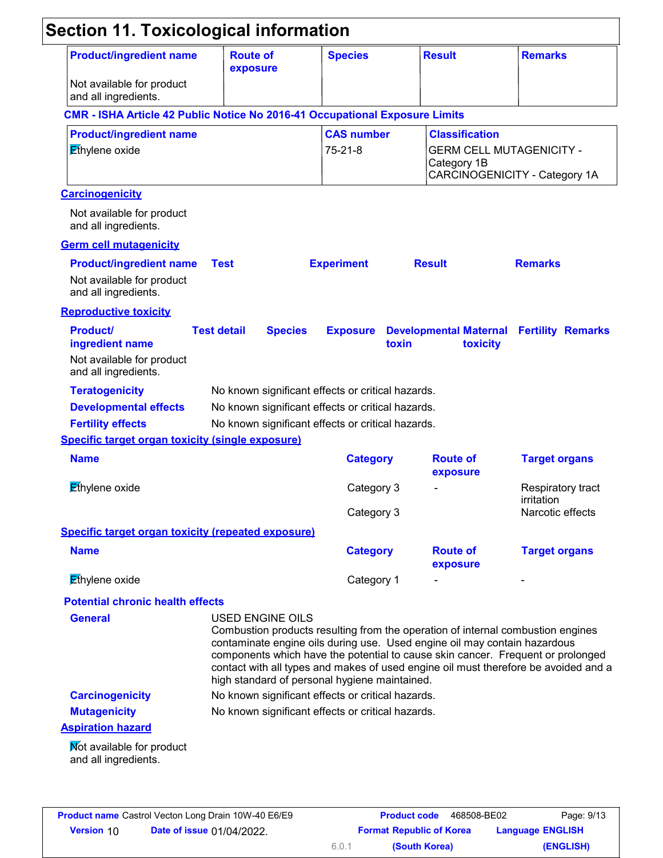| <b>Product/ingredient name</b><br>Not available for product                             | <b>Route of</b><br>exposure                       |                                                   | <b>Species</b>                                    |       | <b>Result</b>                        | <b>Remarks</b>                                                                                                                                                                                                                                                                                                                         |  |
|-----------------------------------------------------------------------------------------|---------------------------------------------------|---------------------------------------------------|---------------------------------------------------|-------|--------------------------------------|----------------------------------------------------------------------------------------------------------------------------------------------------------------------------------------------------------------------------------------------------------------------------------------------------------------------------------------|--|
| and all ingredients.                                                                    |                                                   |                                                   |                                                   |       |                                      |                                                                                                                                                                                                                                                                                                                                        |  |
| <b>CMR - ISHA Article 42 Public Notice No 2016-41 Occupational Exposure Limits</b>      |                                                   |                                                   |                                                   |       |                                      |                                                                                                                                                                                                                                                                                                                                        |  |
| <b>Product/ingredient name</b><br>Ethylene oxide                                        |                                                   |                                                   | <b>CAS number</b><br>$75 - 21 - 8$                |       | <b>Classification</b><br>Category 1B | <b>GERM CELL MUTAGENICITY -</b><br>CARCINOGENICITY - Category 1A                                                                                                                                                                                                                                                                       |  |
| <b>Carcinogenicity</b>                                                                  |                                                   |                                                   |                                                   |       |                                      |                                                                                                                                                                                                                                                                                                                                        |  |
| Not available for product<br>and all ingredients.                                       |                                                   |                                                   |                                                   |       |                                      |                                                                                                                                                                                                                                                                                                                                        |  |
| <b>Germ cell mutagenicity</b>                                                           |                                                   |                                                   |                                                   |       |                                      |                                                                                                                                                                                                                                                                                                                                        |  |
| <b>Product/ingredient name</b><br>Not available for product<br>and all ingredients.     | <b>Test</b>                                       |                                                   | <b>Experiment</b>                                 |       | <b>Result</b>                        | <b>Remarks</b>                                                                                                                                                                                                                                                                                                                         |  |
| <b>Reproductive toxicity</b>                                                            |                                                   |                                                   |                                                   |       |                                      |                                                                                                                                                                                                                                                                                                                                        |  |
| <b>Product/</b><br>ingredient name<br>Not available for product<br>and all ingredients. | <b>Test detail</b>                                | <b>Species</b>                                    | <b>Exposure</b>                                   | toxin | toxicity                             | <b>Developmental Maternal Fertility Remarks</b>                                                                                                                                                                                                                                                                                        |  |
| <b>Teratogenicity</b>                                                                   |                                                   |                                                   | No known significant effects or critical hazards. |       |                                      |                                                                                                                                                                                                                                                                                                                                        |  |
| <b>Developmental effects</b>                                                            |                                                   | No known significant effects or critical hazards. |                                                   |       |                                      |                                                                                                                                                                                                                                                                                                                                        |  |
| <b>Fertility effects</b>                                                                |                                                   |                                                   | No known significant effects or critical hazards. |       |                                      |                                                                                                                                                                                                                                                                                                                                        |  |
| <b>Specific target organ toxicity (single exposure)</b>                                 |                                                   |                                                   |                                                   |       |                                      |                                                                                                                                                                                                                                                                                                                                        |  |
| <b>Name</b>                                                                             |                                                   |                                                   | <b>Category</b>                                   |       | <b>Route of</b><br>exposure          | <b>Target organs</b>                                                                                                                                                                                                                                                                                                                   |  |
| Ethylene oxide                                                                          |                                                   |                                                   | Category 3                                        |       |                                      | Respiratory tract<br>irritation                                                                                                                                                                                                                                                                                                        |  |
|                                                                                         |                                                   |                                                   | Category 3                                        |       |                                      | Narcotic effects                                                                                                                                                                                                                                                                                                                       |  |
| <b>Specific target organ toxicity (repeated exposure)</b>                               |                                                   |                                                   |                                                   |       |                                      |                                                                                                                                                                                                                                                                                                                                        |  |
| <b>Name</b>                                                                             |                                                   |                                                   | <b>Category</b>                                   |       | <b>Route of</b><br>exposure          | <b>Target organs</b>                                                                                                                                                                                                                                                                                                                   |  |
| Ethylene oxide                                                                          |                                                   |                                                   | Category 1                                        |       |                                      |                                                                                                                                                                                                                                                                                                                                        |  |
| <b>Potential chronic health effects</b>                                                 |                                                   |                                                   |                                                   |       |                                      |                                                                                                                                                                                                                                                                                                                                        |  |
| <b>General</b>                                                                          | <b>USED ENGINE OILS</b>                           |                                                   | high standard of personal hygiene maintained.     |       |                                      | Combustion products resulting from the operation of internal combustion engines<br>contaminate engine oils during use. Used engine oil may contain hazardous<br>components which have the potential to cause skin cancer. Frequent or prolonged<br>contact with all types and makes of used engine oil must therefore be avoided and a |  |
| <b>Carcinogenicity</b>                                                                  | No known significant effects or critical hazards. |                                                   |                                                   |       |                                      |                                                                                                                                                                                                                                                                                                                                        |  |
|                                                                                         |                                                   |                                                   | No known significant effects or critical hazards. |       |                                      |                                                                                                                                                                                                                                                                                                                                        |  |
| <b>Mutagenicity</b>                                                                     |                                                   |                                                   |                                                   |       |                                      |                                                                                                                                                                                                                                                                                                                                        |  |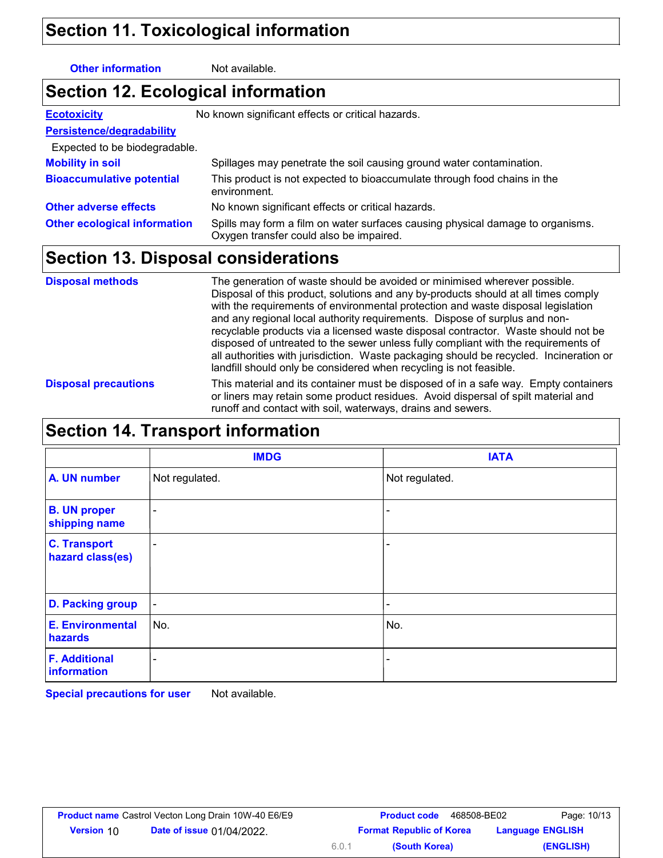### **Section 11. Toxicological information**

**Other information** Not available.

## **Section 12. Ecological information**

| <b>Ecotoxicity</b>                  | No known significant effects or critical hazards.                                                                         |  |  |  |
|-------------------------------------|---------------------------------------------------------------------------------------------------------------------------|--|--|--|
| Persistence/degradability           |                                                                                                                           |  |  |  |
| Expected to be biodegradable.       |                                                                                                                           |  |  |  |
| <b>Mobility in soil</b>             | Spillages may penetrate the soil causing ground water contamination.                                                      |  |  |  |
| <b>Bioaccumulative potential</b>    | This product is not expected to bioaccumulate through food chains in the<br>environment.                                  |  |  |  |
| <b>Other adverse effects</b>        | No known significant effects or critical hazards.                                                                         |  |  |  |
| <b>Other ecological information</b> | Spills may form a film on water surfaces causing physical damage to organisms.<br>Oxygen transfer could also be impaired. |  |  |  |

### **Section 13. Disposal considerations**

| <b>Disposal methods</b>     | The generation of waste should be avoided or minimised wherever possible.<br>Disposal of this product, solutions and any by-products should at all times comply<br>with the requirements of environmental protection and waste disposal legislation                                                                                                                                                                   |
|-----------------------------|-----------------------------------------------------------------------------------------------------------------------------------------------------------------------------------------------------------------------------------------------------------------------------------------------------------------------------------------------------------------------------------------------------------------------|
|                             | and any regional local authority requirements. Dispose of surplus and non-<br>recyclable products via a licensed waste disposal contractor. Waste should not be<br>disposed of untreated to the sewer unless fully compliant with the requirements of<br>all authorities with jurisdiction. Waste packaging should be recycled. Incineration or<br>landfill should only be considered when recycling is not feasible. |
| <b>Disposal precautions</b> | This material and its container must be disposed of in a safe way. Empty containers<br>or liners may retain some product residues. Avoid dispersal of spilt material and<br>runoff and contact with soil, waterways, drains and sewers.                                                                                                                                                                               |

### **Section 14. Transport information**

|                                         | <b>IMDG</b>              | <b>IATA</b>              |
|-----------------------------------------|--------------------------|--------------------------|
| A. UN number                            | Not regulated.           | Not regulated.           |
| <b>B. UN proper</b><br>shipping name    | $\sim$                   | $\overline{\phantom{0}}$ |
| <b>C. Transport</b><br>hazard class(es) | ٠                        | $\overline{\phantom{0}}$ |
| <b>D. Packing group</b>                 | $\blacksquare$           | ٠                        |
| <b>E. Environmental</b><br>hazards      | No.                      | No.                      |
| <b>F. Additional</b><br>information     | $\overline{\phantom{a}}$ |                          |

**Special precautions for user** Not available.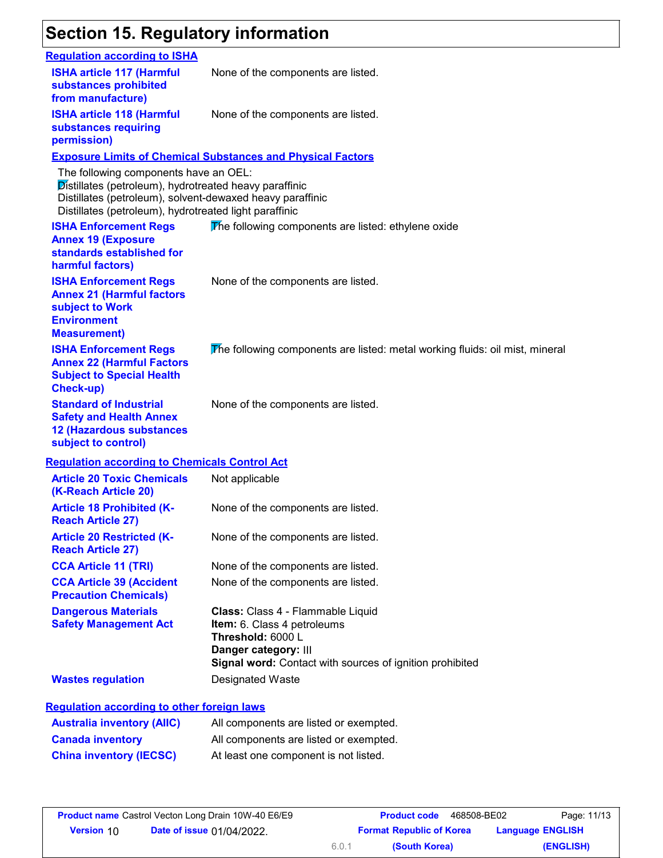## **Section 15. Regulatory information**

| <b>Requlation according to ISHA</b>                                                                                                                                                                                    |                                                                                                                                                                           |
|------------------------------------------------------------------------------------------------------------------------------------------------------------------------------------------------------------------------|---------------------------------------------------------------------------------------------------------------------------------------------------------------------------|
| <b>ISHA article 117 (Harmful</b><br>substances prohibited<br>from manufacture)                                                                                                                                         | None of the components are listed.                                                                                                                                        |
| <b>ISHA article 118 (Harmful</b><br>substances requiring<br>permission)                                                                                                                                                | None of the components are listed.                                                                                                                                        |
|                                                                                                                                                                                                                        | <b>Exposure Limits of Chemical Substances and Physical Factors</b>                                                                                                        |
| The following components have an OEL:<br>Distillates (petroleum), hydrotreated heavy paraffinic<br>Distillates (petroleum), solvent-dewaxed heavy paraffinic<br>Distillates (petroleum), hydrotreated light paraffinic |                                                                                                                                                                           |
| <b>ISHA Enforcement Regs</b><br><b>Annex 19 (Exposure</b><br>standards established for<br>harmful factors)                                                                                                             | The following components are listed: ethylene oxide                                                                                                                       |
| <b>ISHA Enforcement Regs</b><br><b>Annex 21 (Harmful factors</b><br>subject to Work<br><b>Environment</b><br><b>Measurement)</b>                                                                                       | None of the components are listed.                                                                                                                                        |
| <b>ISHA Enforcement Regs</b><br><b>Annex 22 (Harmful Factors</b><br><b>Subject to Special Health</b><br>Check-up)                                                                                                      | The following components are listed: metal working fluids: oil mist, mineral                                                                                              |
| <b>Standard of Industrial</b><br><b>Safety and Health Annex</b><br><b>12 (Hazardous substances</b><br>subject to control)                                                                                              | None of the components are listed.                                                                                                                                        |
| <b>Regulation according to Chemicals Control Act</b>                                                                                                                                                                   |                                                                                                                                                                           |
| <b>Article 20 Toxic Chemicals</b><br>(K-Reach Article 20)                                                                                                                                                              | Not applicable                                                                                                                                                            |
| <b>Article 18 Prohibited (K-</b><br><b>Reach Article 27)</b>                                                                                                                                                           | None of the components are listed.                                                                                                                                        |
| <b>Article 20 Restricted (K-</b><br><b>Reach Article 27)</b>                                                                                                                                                           | None of the components are listed.                                                                                                                                        |
| <b>CCA Article 11 (TRI)</b>                                                                                                                                                                                            | None of the components are listed.                                                                                                                                        |
| <b>CCA Article 39 (Accident</b><br><b>Precaution Chemicals)</b>                                                                                                                                                        | None of the components are listed.                                                                                                                                        |
| <b>Dangerous Materials</b><br><b>Safety Management Act</b>                                                                                                                                                             | Class: Class 4 - Flammable Liquid<br>Item: 6. Class 4 petroleums<br>Threshold: 6000 L<br>Danger category: III<br>Signal word: Contact with sources of ignition prohibited |
| <b>Wastes regulation</b>                                                                                                                                                                                               | Designated Waste                                                                                                                                                          |
| <b>Regulation according to other foreign laws</b>                                                                                                                                                                      |                                                                                                                                                                           |
| <b>Australia inventory (AIIC)</b>                                                                                                                                                                                      | All components are listed or exempted.                                                                                                                                    |
| <b>Canada inventory</b>                                                                                                                                                                                                | All components are listed or exempted.                                                                                                                                    |
| <b>China inventory (IECSC)</b>                                                                                                                                                                                         | At least one component is not listed.                                                                                                                                     |
|                                                                                                                                                                                                                        |                                                                                                                                                                           |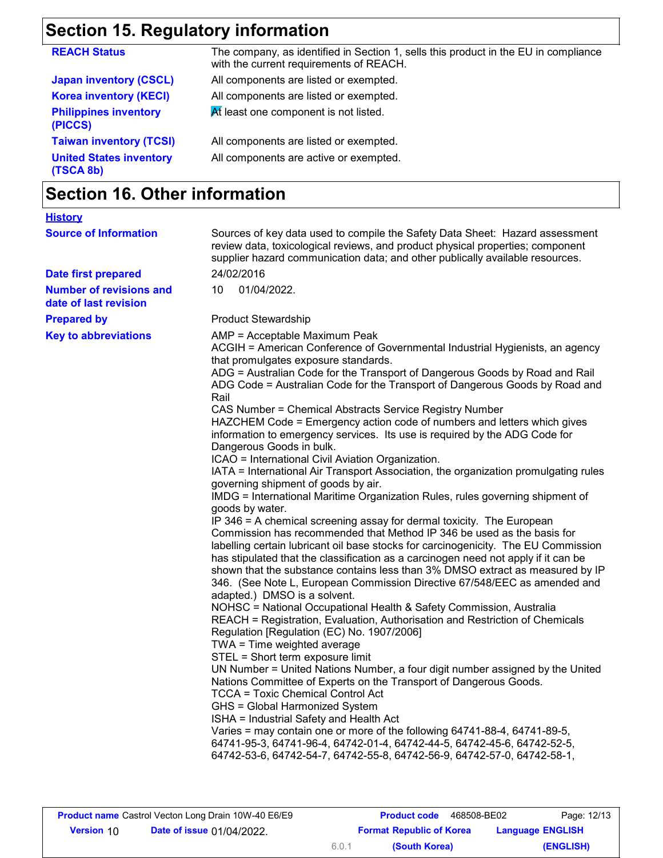# **Section 15. Regulatory information**

| <b>REACH Status</b>                         | The company, as identified in Section 1, sells this product in the EU in compliance<br>with the current requirements of REACH. |
|---------------------------------------------|--------------------------------------------------------------------------------------------------------------------------------|
| <b>Japan inventory (CSCL)</b>               | All components are listed or exempted.                                                                                         |
| <b>Korea inventory (KECI)</b>               | All components are listed or exempted.                                                                                         |
| <b>Philippines inventory</b><br>(PICCS)     | At least one component is not listed.                                                                                          |
| <b>Taiwan inventory (TCSI)</b>              | All components are listed or exempted.                                                                                         |
| <b>United States inventory</b><br>(TSCA 8b) | All components are active or exempted.                                                                                         |
|                                             |                                                                                                                                |

## **Section 16. Other information**

| <b>History</b>                                          |                                                                                                                                                                                                                                                                                                                                                                                                                                                                                                                                                                                                                                                                                                                                                                                                                                                                                                                                                                                                                                                                                                                                                                                                                                                                                                                                                                                                                                                                                                                                                                                                                                                                                                                                                                                                                                                                                                                                                                                                                                                                                                                                                                                           |
|---------------------------------------------------------|-------------------------------------------------------------------------------------------------------------------------------------------------------------------------------------------------------------------------------------------------------------------------------------------------------------------------------------------------------------------------------------------------------------------------------------------------------------------------------------------------------------------------------------------------------------------------------------------------------------------------------------------------------------------------------------------------------------------------------------------------------------------------------------------------------------------------------------------------------------------------------------------------------------------------------------------------------------------------------------------------------------------------------------------------------------------------------------------------------------------------------------------------------------------------------------------------------------------------------------------------------------------------------------------------------------------------------------------------------------------------------------------------------------------------------------------------------------------------------------------------------------------------------------------------------------------------------------------------------------------------------------------------------------------------------------------------------------------------------------------------------------------------------------------------------------------------------------------------------------------------------------------------------------------------------------------------------------------------------------------------------------------------------------------------------------------------------------------------------------------------------------------------------------------------------------------|
| <b>Source of Information</b>                            | Sources of key data used to compile the Safety Data Sheet: Hazard assessment<br>review data, toxicological reviews, and product physical properties; component<br>supplier hazard communication data; and other publically available resources.                                                                                                                                                                                                                                                                                                                                                                                                                                                                                                                                                                                                                                                                                                                                                                                                                                                                                                                                                                                                                                                                                                                                                                                                                                                                                                                                                                                                                                                                                                                                                                                                                                                                                                                                                                                                                                                                                                                                           |
| <b>Date first prepared</b>                              | 24/02/2016                                                                                                                                                                                                                                                                                                                                                                                                                                                                                                                                                                                                                                                                                                                                                                                                                                                                                                                                                                                                                                                                                                                                                                                                                                                                                                                                                                                                                                                                                                                                                                                                                                                                                                                                                                                                                                                                                                                                                                                                                                                                                                                                                                                |
| <b>Number of revisions and</b><br>date of last revision | 10<br>01/04/2022.                                                                                                                                                                                                                                                                                                                                                                                                                                                                                                                                                                                                                                                                                                                                                                                                                                                                                                                                                                                                                                                                                                                                                                                                                                                                                                                                                                                                                                                                                                                                                                                                                                                                                                                                                                                                                                                                                                                                                                                                                                                                                                                                                                         |
| <b>Prepared by</b>                                      | <b>Product Stewardship</b>                                                                                                                                                                                                                                                                                                                                                                                                                                                                                                                                                                                                                                                                                                                                                                                                                                                                                                                                                                                                                                                                                                                                                                                                                                                                                                                                                                                                                                                                                                                                                                                                                                                                                                                                                                                                                                                                                                                                                                                                                                                                                                                                                                |
| <b>Key to abbreviations</b>                             | AMP = Acceptable Maximum Peak<br>ACGIH = American Conference of Governmental Industrial Hygienists, an agency<br>that promulgates exposure standards.<br>ADG = Australian Code for the Transport of Dangerous Goods by Road and Rail<br>ADG Code = Australian Code for the Transport of Dangerous Goods by Road and<br>Rail<br>CAS Number = Chemical Abstracts Service Registry Number<br>HAZCHEM Code = Emergency action code of numbers and letters which gives<br>information to emergency services. Its use is required by the ADG Code for<br>Dangerous Goods in bulk.<br>ICAO = International Civil Aviation Organization.<br>IATA = International Air Transport Association, the organization promulgating rules<br>governing shipment of goods by air.<br>IMDG = International Maritime Organization Rules, rules governing shipment of<br>goods by water.<br>IP 346 = A chemical screening assay for dermal toxicity. The European<br>Commission has recommended that Method IP 346 be used as the basis for<br>labelling certain lubricant oil base stocks for carcinogenicity. The EU Commission<br>has stipulated that the classification as a carcinogen need not apply if it can be<br>shown that the substance contains less than 3% DMSO extract as measured by IP<br>346. (See Note L, European Commission Directive 67/548/EEC as amended and<br>adapted.) DMSO is a solvent.<br>NOHSC = National Occupational Health & Safety Commission, Australia<br>REACH = Registration, Evaluation, Authorisation and Restriction of Chemicals<br>Regulation [Regulation (EC) No. 1907/2006]<br>TWA = Time weighted average<br>STEL = Short term exposure limit<br>UN Number = United Nations Number, a four digit number assigned by the United<br>Nations Committee of Experts on the Transport of Dangerous Goods.<br><b>TCCA = Toxic Chemical Control Act</b><br>GHS = Global Harmonized System<br>ISHA = Industrial Safety and Health Act<br>Varies = may contain one or more of the following 64741-88-4, 64741-89-5,<br>64741-95-3, 64741-96-4, 64742-01-4, 64742-44-5, 64742-45-6, 64742-52-5,<br>64742-53-6, 64742-54-7, 64742-55-8, 64742-56-9, 64742-57-0, 64742-58-1, |
|                                                         |                                                                                                                                                                                                                                                                                                                                                                                                                                                                                                                                                                                                                                                                                                                                                                                                                                                                                                                                                                                                                                                                                                                                                                                                                                                                                                                                                                                                                                                                                                                                                                                                                                                                                                                                                                                                                                                                                                                                                                                                                                                                                                                                                                                           |